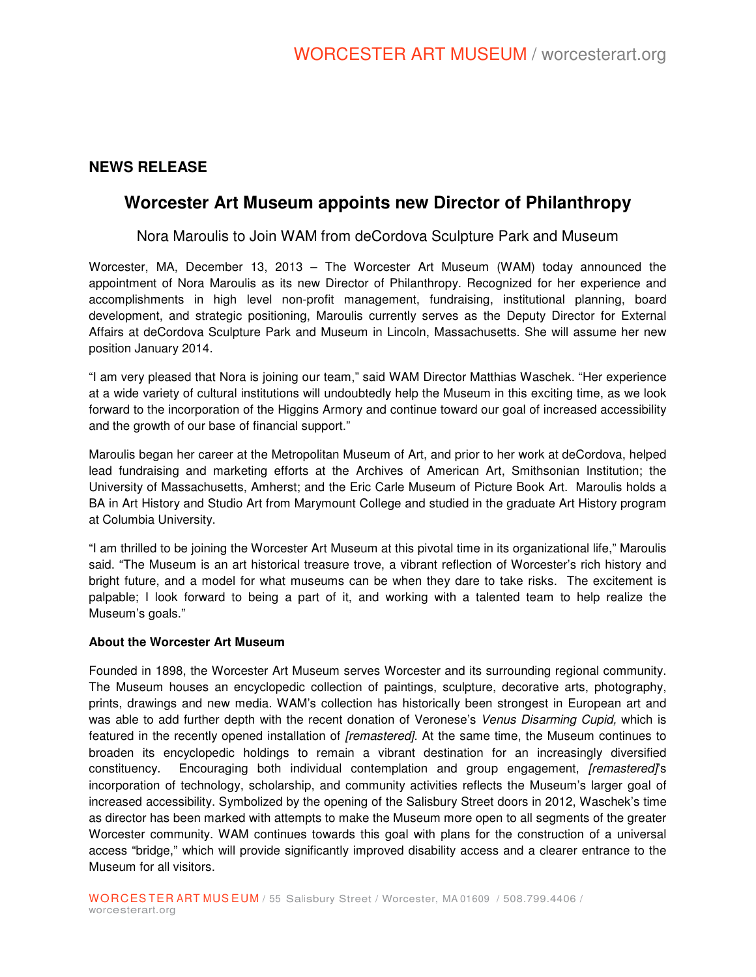### **NEWS RELEASE**

## **Worcester Art Museum appoints new Director of Philanthropy**

### Nora Maroulis to Join WAM from deCordova Sculpture Park and Museum

Worcester, MA, December 13, 2013 – The Worcester Art Museum (WAM) today announced the appointment of Nora Maroulis as its new Director of Philanthropy. Recognized for her experience and accomplishments in high level non-profit management, fundraising, institutional planning, board development, and strategic positioning, Maroulis currently serves as the Deputy Director for External Affairs at deCordova Sculpture Park and Museum in Lincoln, Massachusetts. She will assume her new position January 2014.

"I am very pleased that Nora is joining our team," said WAM Director Matthias Waschek. "Her experience at a wide variety of cultural institutions will undoubtedly help the Museum in this exciting time, as we look forward to the incorporation of the Higgins Armory and continue toward our goal of increased accessibility and the growth of our base of financial support."

Maroulis began her career at the Metropolitan Museum of Art, and prior to her work at deCordova, helped lead fundraising and marketing efforts at the Archives of American Art, Smithsonian Institution; the University of Massachusetts, Amherst; and the Eric Carle Museum of Picture Book Art. Maroulis holds a BA in Art History and Studio Art from Marymount College and studied in the graduate Art History program at Columbia University.

"I am thrilled to be joining the Worcester Art Museum at this pivotal time in its organizational life," Maroulis said. "The Museum is an art historical treasure trove, a vibrant reflection of Worcester's rich history and bright future, and a model for what museums can be when they dare to take risks. The excitement is palpable; I look forward to being a part of it, and working with a talented team to help realize the Museum's goals."

#### **About the Worcester Art Museum**

Founded in 1898, the Worcester Art Museum serves Worcester and its surrounding regional community. The Museum houses an encyclopedic collection of paintings, sculpture, decorative arts, photography, prints, drawings and new media. WAM's collection has historically been strongest in European art and was able to add further depth with the recent donation of Veronese's Venus Disarming Cupid, which is featured in the recently opened installation of [remastered]. At the same time, the Museum continues to broaden its encyclopedic holdings to remain a vibrant destination for an increasingly diversified constituency. Encouraging both individual contemplation and group engagement, [remastered]'s incorporation of technology, scholarship, and community activities reflects the Museum's larger goal of increased accessibility. Symbolized by the opening of the Salisbury Street doors in 2012, Waschek's time as director has been marked with attempts to make the Museum more open to all segments of the greater Worcester community. WAM continues towards this goal with plans for the construction of a universal access "bridge," which will provide significantly improved disability access and a clearer entrance to the Museum for all visitors.